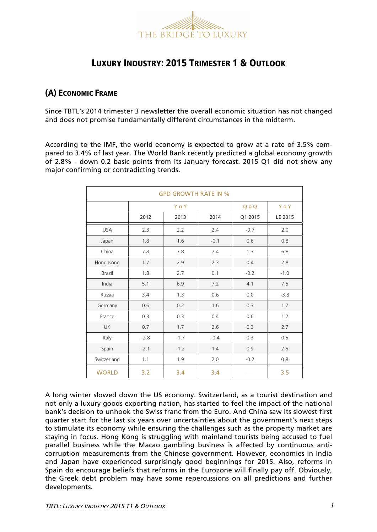

# LUXURY INDUSTRY: 2015 TRIMESTER 1 & OUTLOOK

## (A) ECONOMIC FRAME

Since TBTL's 2014 trimester 3 newsletter the overall economic situation has not changed and does not promise fundamentally different circumstances in the midterm.

According to the IMF, the world economy is expected to grow at a rate of 3.5% compared to 3.4% of last year. The World Bank recently predicted a global economy growth of 2.8% - down 0.2 basic points from its January forecast. 2015 Q1 did not show any major confirming or contradicting trends.

| <b>GPD GROWTH RATE IN %</b> |        |        |        |         |         |
|-----------------------------|--------|--------|--------|---------|---------|
|                             | YoY    |        |        | $Q_0 Q$ | YoY     |
|                             | 2012   | 2013   | 2014   | Q1 2015 | LE 2015 |
| <b>USA</b>                  | 2.3    | 2.2    | 2.4    | $-0.7$  | 2.0     |
| Japan                       | 1.8    | 1.6    | $-0.1$ | 0.6     | 0.8     |
| China                       | 7.8    | 7.8    | 7.4    | 1.3     | 6.8     |
| Hong Kong                   | 1.7    | 2.9    | 2.3    | 0.4     | 2.8     |
| <b>Brazil</b>               | 1.8    | 2.7    | 0.1    | $-0.2$  | $-1.0$  |
| India                       | 5.1    | 6.9    | 7.2    | 4.1     | 7.5     |
| Russia                      | 3.4    | 1.3    | 0.6    | 0.0     | $-3.8$  |
| Germany                     | 0.6    | 0.2    | 1.6    | 0.3     | 1.7     |
| France                      | 0.3    | 0.3    | 0.4    | 0.6     | 1.2     |
| <b>UK</b>                   | 0.7    | 1.7    | 2.6    | 0.3     | 2.7     |
| Italy                       | $-2.8$ | $-1.7$ | $-0.4$ | 0.3     | 0.5     |
| Spain                       | $-2.1$ | $-1.2$ | 1.4    | 0.9     | 2.5     |
| Switzerland                 | 1.1    | 1.9    | 2.0    | $-0.2$  | 0.8     |
| <b>WORLD</b>                | 3.2    | 3.4    | 3.4    |         | 3.5     |

A long winter slowed down the US economy. Switzerland, as a tourist destination and not only a luxury goods exporting nation, has started to feel the impact of the national bank's decision to unhook the Swiss franc from the Euro. And China saw its slowest first quarter start for the last six years over uncertainties about the government's next steps to stimulate its economy while ensuring the challenges such as the property market are staying in focus. Hong Kong is struggling with mainland tourists being accused to fuel parallel business while the Macao gambling business is affected by continuous anticorruption measurements from the Chinese government. However, economies in India and Japan have experienced surprisingly good beginnings for 2015. Also, reforms in Spain do encourage beliefs that reforms in the Eurozone will finally pay off. Obviously, the Greek debt problem may have some repercussions on all predictions and further developments.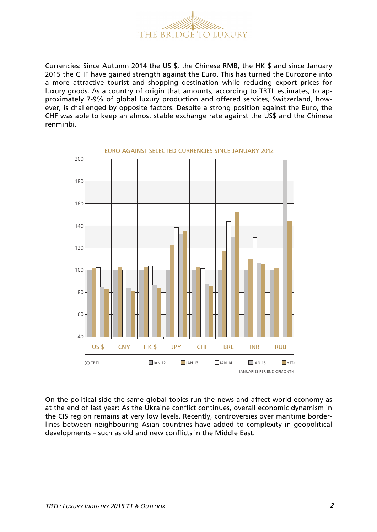

Currencies: Since Autumn 2014 the US \$, the Chinese RMB, the HK \$ and since January 2015 the CHF have gained strength against the Euro. This has turned the Eurozone into a more attractive tourist and shopping destination while reducing export prices for luxury goods. As a country of origin that amounts, according to TBTL estimates, to approximately 7-9% of global luxury production and offered services, Switzerland, however, is challenged by opposite factors. Despite a strong position against the Euro, the CHF was able to keep an almost stable exchange rate against the US\$ and the Chinese renminbi.



On the political side the same global topics run the news and affect world economy as at the end of last year: As the Ukraine conflict continues, overall economic dynamism in the CIS region remains at very low levels. Recently, controversies over maritime borderlines between neighbouring Asian countries have added to complexity in geopolitical developments – such as old and new conflicts in the Middle East.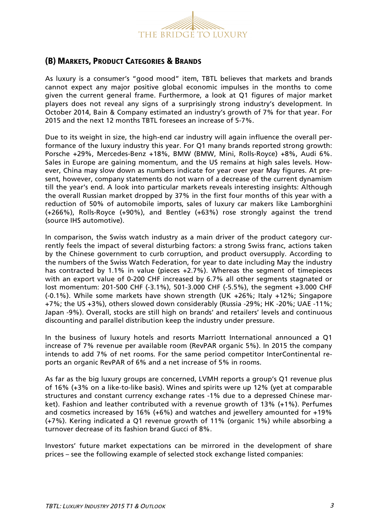

## (B) MARKETS, PRODUCT CATEGORIES & BRANDS

As luxury is a consumer's "good mood" item, TBTL believes that markets and brands cannot expect any major positive global economic impulses in the months to come given the current general frame. Furthermore, a look at Q1 figures of major market players does not reveal any signs of a surprisingly strong industry's development. In October 2014, Bain & Company estimated an industry's growth of 7% for that year. For 2015 and the next 12 months TBTL foresees an increase of 5-7%.

Due to its weight in size, the high-end car industry will again influence the overall performance of the luxury industry this year. For Q1 many brands reported strong growth: Porsche +29%, Mercedes-Benz +18%, BMW (BMW, Mini, Rolls-Royce) +8%, Audi 6%. Sales in Europe are gaining momentum, and the US remains at high sales levels. However, China may slow down as numbers indicate for year over year May figures. At present, however, company statements do not warn of a decrease of the current dynamism till the year's end. A look into particular markets reveals interesting insights: Although the overall Russian market dropped by 37% in the first four months of this year with a reduction of 50% of automobile imports, sales of luxury car makers like Lamborghini (+266%), Rolls-Royce (+90%), and Bentley (+63%) rose strongly against the trend (source IHS automotive).

In comparison, the Swiss watch industry as a main driver of the product category currently feels the impact of several disturbing factors: a strong Swiss franc, actions taken by the Chinese government to curb corruption, and product oversupply. According to the numbers of the Swiss Watch Federation, for year to date including May the industry has contracted by 1.1% in value (pieces +2.7%). Whereas the segment of timepieces with an export value of 0-200 CHF increased by 6.7% all other segments stagnated or lost momentum: 201-500 CHF (-3.1%), 501-3.000 CHF (-5.5%), the segment +3.000 CHF (-0.1%). While some markets have shown strength (UK +26%; Italy +12%; Singapore +7%; the US +3%), others slowed down considerably (Russia -29%; HK -20%; UAE -11%; Japan -9%). Overall, stocks are still high on brands' and retailers' levels and continuous discounting and parallel distribution keep the industry under pressure.

In the business of luxury hotels and resorts Marriott International announced a Q1 increase of 7% revenue per available room (RevPAR organic 5%). In 2015 the company intends to add 7% of net rooms. For the same period competitor InterContinental reports an organic RevPAR of 6% and a net increase of 5% in rooms.

As far as the big luxury groups are concerned, LVMH reports a group's Q1 revenue plus of 16% (+3% on a like-to-like basis). Wines and spirits were up 12% (yet at comparable structures and constant currency exchange rates -1% due to a depressed Chinese market). Fashion and leather contributed with a revenue growth of 13% (+1%). Perfumes and cosmetics increased by 16% (+6%) and watches and jewellery amounted for +19% (+7%). Kering indicated a Q1 revenue growth of 11% (organic 1%) while absorbing a turnover decrease of its fashion brand Gucci of 8%.

Investors' future market expectations can be mirrored in the development of share prices – see the following example of selected stock exchange listed companies: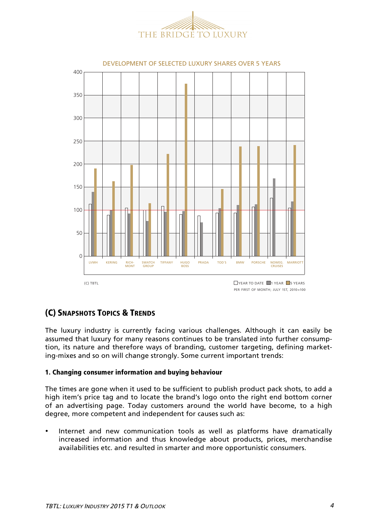



PER FIRST OF MONTH: JULY 1ST, 2010=100

# (C) SNAPSHOTS TOPICS & TRENDS

The luxury industry is currently facing various challenges. Although it can easily be assumed that luxury for many reasons continues to be translated into further consumption, its nature and therefore ways of branding, customer targeting, defining marketing-mixes and so on will change strongly. Some current important trends:

### 1. Changing consumer information and buying behaviour

The times are gone when it used to be sufficient to publish product pack shots, to add a high item's price tag and to locate the brand's logo onto the right end bottom corner of an advertising page. Today customers around the world have become, to a high degree, more competent and independent for causes such as:

• Internet and new communication tools as well as platforms have dramatically increased information and thus knowledge about products, prices, merchandise availabilities etc. and resulted in smarter and more opportunistic consumers.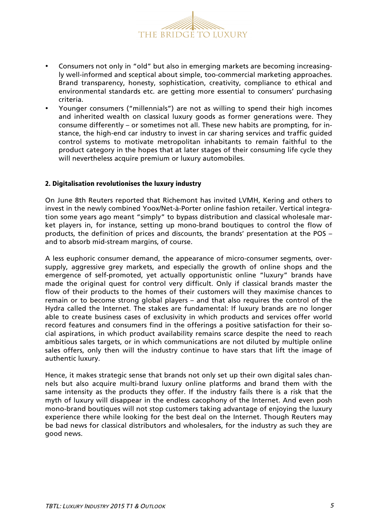

- Consumers not only in "old" but also in emerging markets are becoming increasingly well-informed and sceptical about simple, too-commercial marketing approaches. Brand transparency, honesty, sophistication, creativity, compliance to ethical and environmental standards etc. are getting more essential to consumers' purchasing criteria.
- Younger consumers ("millennials") are not as willing to spend their high incomes and inherited wealth on classical luxury goods as former generations were. They consume differently – or sometimes not all. These new habits are prompting, for instance, the high-end car industry to invest in car sharing services and traffic guided control systems to motivate metropolitan inhabitants to remain faithful to the product category in the hopes that at later stages of their consuming life cycle they will nevertheless acquire premium or luxury automobiles.

### 2. Digitalisation revolutionises the luxury industry

On June 8th Reuters reported that Richemont has invited LVMH, Kering and others to invest in the newly combined Yoox/Net-à-Porter online fashion retailer. Vertical integration some years ago meant "simply" to bypass distribution and classical wholesale market players in, for instance, setting up mono-brand boutiques to control the flow of products, the definition of prices and discounts, the brands' presentation at the POS – and to absorb mid-stream margins, of course.

A less euphoric consumer demand, the appearance of micro-consumer segments, oversupply, aggressive grey markets, and especially the growth of online shops and the emergence of self-promoted, yet actually opportunistic online "luxury" brands have made the original quest for control very difficult. Only if classical brands master the flow of their products to the homes of their customers will they maximise chances to remain or to become strong global players – and that also requires the control of the Hydra called the Internet. The stakes are fundamental: If luxury brands are no longer able to create business cases of exclusivity in which products and services offer world record features and consumers find in the offerings a positive satisfaction for their social aspirations, in which product availability remains scarce despite the need to reach ambitious sales targets, or in which communications are not diluted by multiple online sales offers, only then will the industry continue to have stars that lift the image of authentic luxury.

Hence, it makes strategic sense that brands not only set up their own digital sales channels but also acquire multi-brand luxury online platforms and brand them with the same intensity as the products they offer. If the industry fails there is a risk that the myth of luxury will disappear in the endless cacophony of the Internet. And even posh mono-brand boutiques will not stop customers taking advantage of enjoying the luxury experience there while looking for the best deal on the Internet. Though Reuters may be bad news for classical distributors and wholesalers, for the industry as such they are good news.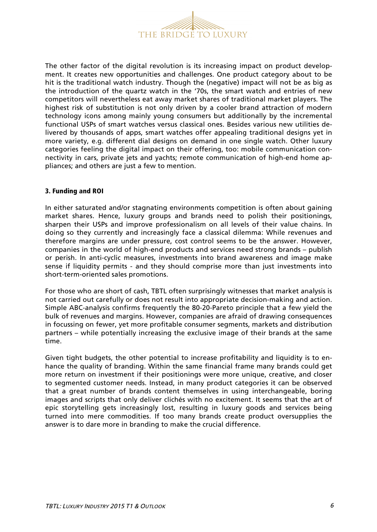

The other factor of the digital revolution is its increasing impact on product development. It creates new opportunities and challenges. One product category about to be hit is the traditional watch industry. Though the (negative) impact will not be as big as the introduction of the quartz watch in the '70s, the smart watch and entries of new competitors will nevertheless eat away market shares of traditional market players. The highest risk of substitution is not only driven by a cooler brand attraction of modern technology icons among mainly young consumers but additionally by the incremental functional USPs of smart watches versus classical ones. Besides various new utilities delivered by thousands of apps, smart watches offer appealing traditional designs yet in more variety, e.g. different dial designs on demand in one single watch. Other luxury categories feeling the digital impact on their offering, too: mobile communication connectivity in cars, private jets and yachts; remote communication of high-end home appliances; and others are just a few to mention.

### 3. Funding and ROI

In either saturated and/or stagnating environments competition is often about gaining market shares. Hence, luxury groups and brands need to polish their positionings, sharpen their USPs and improve professionalism on all levels of their value chains. In doing so they currently and increasingly face a classical dilemma: While revenues and therefore margins are under pressure, cost control seems to be the answer. However, companies in the world of high-end products and services need strong brands – publish or perish. In anti-cyclic measures, investments into brand awareness and image make sense if liquidity permits - and they should comprise more than just investments into short-term-oriented sales promotions.

For those who are short of cash, TBTL often surprisingly witnesses that market analysis is not carried out carefully or does not result into appropriate decision-making and action. Simple ABC-analysis confirms frequently the 80-20-Pareto principle that a few yield the bulk of revenues and margins. However, companies are afraid of drawing consequences in focussing on fewer, yet more profitable consumer segments, markets and distribution partners – while potentially increasing the exclusive image of their brands at the same time.

Given tight budgets, the other potential to increase profitability and liquidity is to enhance the quality of branding. Within the same financial frame many brands could get more return on investment if their positionings were more unique, creative, and closer to segmented customer needs. Instead, in many product categories it can be observed that a great number of brands content themselves in using interchangeable, boring images and scripts that only deliver clichés with no excitement. It seems that the art of epic storytelling gets increasingly lost, resulting in luxury goods and services being turned into mere commodities. If too many brands create product oversupplies the answer is to dare more in branding to make the crucial difference.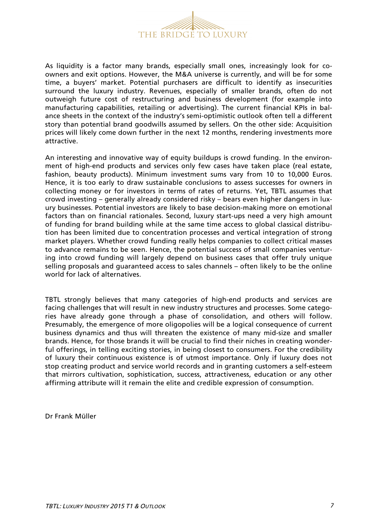

As liquidity is a factor many brands, especially small ones, increasingly look for coowners and exit options. However, the M&A universe is currently, and will be for some time, a buyers' market. Potential purchasers are difficult to identify as insecurities surround the luxury industry. Revenues, especially of smaller brands, often do not outweigh future cost of restructuring and business development (for example into manufacturing capabilities, retailing or advertising). The current financial KPIs in balance sheets in the context of the industry's semi-optimistic outlook often tell a different story than potential brand goodwills assumed by sellers. On the other side: Acquisition prices will likely come down further in the next 12 months, rendering investments more attractive.

An interesting and innovative way of equity buildups is crowd funding. In the environment of high-end products and services only few cases have taken place (real estate, fashion, beauty products). Minimum investment sums vary from 10 to 10,000 Euros. Hence, it is too early to draw sustainable conclusions to assess successes for owners in collecting money or for investors in terms of rates of returns. Yet, TBTL assumes that crowd investing – generally already considered risky – bears even higher dangers in luxury businesses. Potential investors are likely to base decision-making more on emotional factors than on financial rationales. Second, luxury start-ups need a very high amount of funding for brand building while at the same time access to global classical distribution has been limited due to concentration processes and vertical integration of strong market players. Whether crowd funding really helps companies to collect critical masses to advance remains to be seen. Hence, the potential success of small companies venturing into crowd funding will largely depend on business cases that offer truly unique selling proposals and guaranteed access to sales channels – often likely to be the online world for lack of alternatives.

TBTL strongly believes that many categories of high-end products and services are facing challenges that will result in new industry structures and processes. Some categories have already gone through a phase of consolidation, and others will follow. Presumably, the emergence of more oligopolies will be a logical consequence of current business dynamics and thus will threaten the existence of many mid-size and smaller brands. Hence, for those brands it will be crucial to find their niches in creating wonderful offerings, in telling exciting stories, in being closest to consumers. For the credibility of luxury their continuous existence is of utmost importance. Only if luxury does not stop creating product and service world records and in granting customers a self-esteem that mirrors cultivation, sophistication, success, attractiveness, education or any other affirming attribute will it remain the elite and credible expression of consumption.

Dr Frank Müller